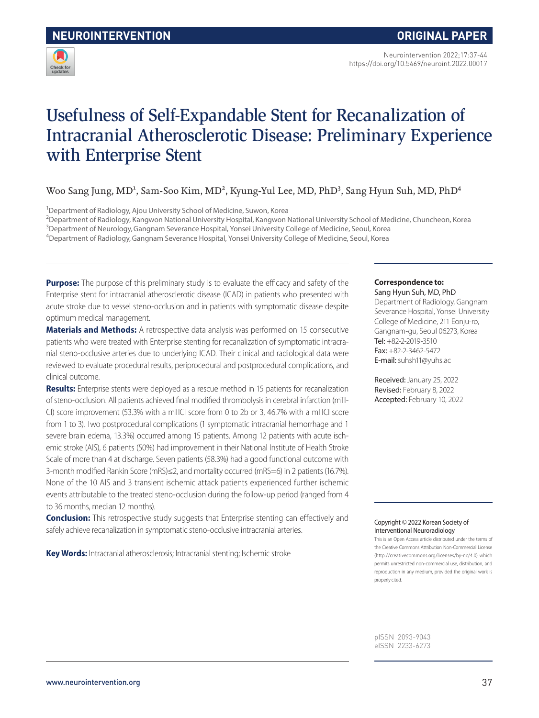

Neurointervention 2022;17:37-44 https://doi.org/10.5469/neuroint.2022.00017

# Usefulness of Self-Expandable Stent for Recanalization of Intracranial Atherosclerotic Disease: Preliminary Experience with Enterprise Stent

Woo Sang Jung, MD<sup>1</sup>, Sam-Soo Kim, MD<sup>2</sup>, Kyung-Yul Lee, MD, PhD<sup>3</sup>, Sang Hyun Suh, MD, PhD<sup>4</sup>

<sup>1</sup>Department of Radiology, Ajou University School of Medicine, Suwon, Korea

2 Department of Radiology, Kangwon National University Hospital, Kangwon National University School of Medicine, Chuncheon, Korea

3 Department of Neurology,Gangnam Severance Hospital, Yonsei University College of Medicine, Seoul, Korea

4 Department of Radiology,Gangnam Severance Hospital, Yonsei University College of Medicine, Seoul, Korea

**Purpose:** The purpose of this preliminary study is to evaluate the efficacy and safety of the Enterprise stent for intracranial atherosclerotic disease (ICAD) in patients who presented with acute stroke due to vessel steno-occlusion and in patients with symptomatic disease despite optimum medical management.

**Materials and Methods:** A retrospective data analysis was performed on 15 consecutive patients who were treated with Enterprise stenting for recanalization of symptomatic intracranial steno-occlusive arteries due to underlying ICAD. Their clinical and radiological data were reviewed to evaluate procedural results, periprocedural and postprocedural complications, and clinical outcome.

**Results:** Enterprise stents were deployed as a rescue method in 15 patients for recanalization of steno-occlusion. All patients achieved final modified thrombolysis in cerebral infarction (mTI-CI) score improvement (53.3% with a mTICI score from 0 to 2b or 3, 46.7% with a mTICI score from 1 to 3). Two postprocedural complications (1 symptomatic intracranial hemorrhage and 1 severe brain edema, 13.3%) occurred among 15 patients. Among 12 patients with acute ischemic stroke (AIS), 6 patients (50%) had improvement in their National Institute of Health Stroke Scale of more than 4 at discharge. Seven patients (58.3%) had a good functional outcome with 3-month modified Rankin Score (mRS)≤2, and mortality occurred (mRS=6) in 2 patients (16.7%). None of the 10 AIS and 3 transient ischemic attack patients experienced further ischemic events attributable to the treated steno-occlusion during the follow-up period (ranged from 4 to 36 months, median 12 months).

**Conclusion:** This retrospective study suggests that Enterprise stenting can effectively and safely achieve recanalization in symptomatic steno-occlusive intracranial arteries.

**Key Words:** Intracranial atherosclerosis; Intracranial stenting; Ischemic stroke

#### **Correspondence to:**

Sang Hyun Suh, MD, PhD Department of Radiology, Gangnam Severance Hospital, Yonsei University College of Medicine, 211 Eonju-ro, Gangnam-gu, Seoul 06273, Korea Tel: +82-2-2019-3510 Fax: +82-2-3462-5472 E-mail: suhsh11@yuhs.ac

Received: January 25, 2022 Revised: February 8, 2022 Accepted: February 10, 2022

#### Copyright © 2022 Korean Society of Interventional Neuroradiology

This is an Open Access article distributed under the terms of the Creative Commons Attribution Non-Commercial License (http://creativecommons.org/licenses/by-nc/4.0) which permits unrestricted non-commercial use, distribution, and reproduction in any medium, provided the original work is properly cited.

pISSN 2093-9043 eISSN 2233-6273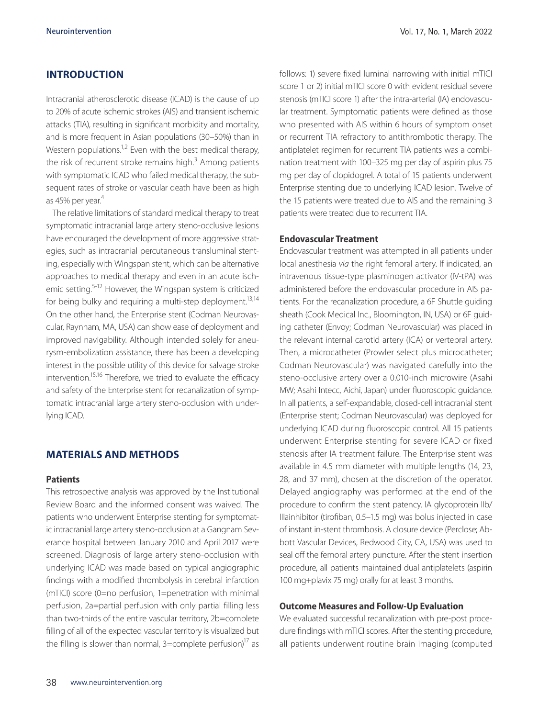## **INTRODUCTION**

Intracranial atherosclerotic disease (ICAD) is the cause of up to 20% of acute ischemic strokes (AIS) and transient ischemic attacks (TIA), resulting in significant morbidity and mortality, and is more frequent in Asian populations (30–50%) than in Western populations.<sup>1,2</sup> Even with the best medical therapy, the risk of recurrent stroke remains high.<sup>3</sup> Among patients with symptomatic ICAD who failed medical therapy, the subsequent rates of stroke or vascular death have been as high as 45% per year.<sup>4</sup>

The relative limitations of standard medical therapy to treat symptomatic intracranial large artery steno-occlusive lesions have encouraged the development of more aggressive strategies, such as intracranial percutaneous transluminal stenting, especially with Wingspan stent, which can be alternative approaches to medical therapy and even in an acute ischemic setting.5-12 However, the Wingspan system is criticized for being bulky and requiring a multi-step deployment.<sup>13,14</sup> On the other hand, the Enterprise stent (Codman Neurovascular, Raynham, MA, USA) can show ease of deployment and improved navigability. Although intended solely for aneurysm-embolization assistance, there has been a developing interest in the possible utility of this device for salvage stroke intervention.<sup>15,16</sup> Therefore, we tried to evaluate the efficacy and safety of the Enterprise stent for recanalization of symptomatic intracranial large artery steno-occlusion with underlying ICAD.

## **MATERIALS AND METHODS**

#### **Patients**

This retrospective analysis was approved by the Institutional Review Board and the informed consent was waived. The patients who underwent Enterprise stenting for symptomatic intracranial large artery steno-occlusion at a Gangnam Severance hospital between January 2010 and April 2017 were screened. Diagnosis of large artery steno-occlusion with underlying ICAD was made based on typical angiographic findings with a modified thrombolysis in cerebral infarction (mTICI) score (0=no perfusion, 1=penetration with minimal perfusion, 2a=partial perfusion with only partial filling less than two-thirds of the entire vascular territory, 2b=complete filling of all of the expected vascular territory is visualized but the filling is slower than normal,  $3=$ complete perfusion)<sup>17</sup> as follows: 1) severe fixed luminal narrowing with initial mTICI score 1 or 2) initial mTICI score 0 with evident residual severe stenosis (mTICI score 1) after the intra-arterial (IA) endovascular treatment. Symptomatic patients were defined as those who presented with AIS within 6 hours of symptom onset or recurrent TIA refractory to antithrombotic therapy. The antiplatelet regimen for recurrent TIA patients was a combination treatment with 100–325 mg per day of aspirin plus 75 mg per day of clopidogrel. A total of 15 patients underwent Enterprise stenting due to underlying ICAD lesion. Twelve of the 15 patients were treated due to AIS and the remaining 3 patients were treated due to recurrent TIA.

#### **Endovascular Treatment**

Endovascular treatment was attempted in all patients under local anesthesia *via* the right femoral artery. If indicated, an intravenous tissue-type plasminogen activator (IV-tPA) was administered before the endovascular procedure in AIS patients. For the recanalization procedure, a 6F Shuttle guiding sheath (Cook Medical Inc., Bloomington, IN, USA) or 6F guiding catheter (Envoy; Codman Neurovascular) was placed in the relevant internal carotid artery (ICA) or vertebral artery. Then, a microcatheter (Prowler select plus microcatheter; Codman Neurovascular) was navigated carefully into the steno-occlusive artery over a 0.010-inch microwire (Asahi MW; Asahi Intecc, Aichi, Japan) under fluoroscopic guidance. In all patients, a self-expandable, closed-cell intracranial stent (Enterprise stent; Codman Neurovascular) was deployed for underlying ICAD during fluoroscopic control. All 15 patients underwent Enterprise stenting for severe ICAD or fixed stenosis after IA treatment failure. The Enterprise stent was available in 4.5 mm diameter with multiple lengths (14, 23, 28, and 37 mm), chosen at the discretion of the operator. Delayed angiography was performed at the end of the procedure to confirm the stent patency. IA glycoprotein IIb/ IIIainhibitor (tirofiban, 0.5–1.5 mg) was bolus injected in case of instant in-stent thrombosis. A closure device (Perclose; Abbott Vascular Devices, Redwood City, CA, USA) was used to seal off the femoral artery puncture. After the stent insertion procedure, all patients maintained dual antiplatelets (aspirin 100 mg+plavix 75 mg) orally for at least 3 months.

## **Outcome Measures and Follow-Up Evaluation**

We evaluated successful recanalization with pre-post procedure findings with mTICI scores. After the stenting procedure, all patients underwent routine brain imaging (computed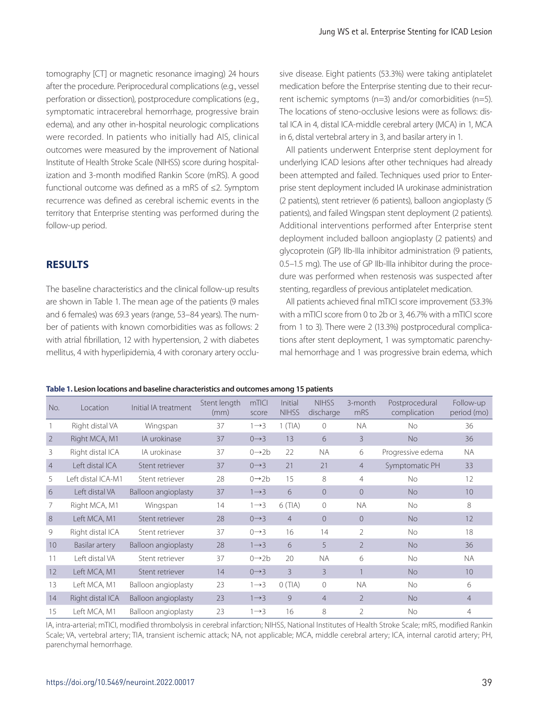tomography [CT] or magnetic resonance imaging) 24 hours after the procedure. Periprocedural complications (e.g., vessel perforation or dissection), postprocedure complications (e.g., symptomatic intracerebral hemorrhage, progressive brain edema), and any other in-hospital neurologic complications were recorded. In patients who initially had AIS, clinical outcomes were measured by the improvement of National Institute of Health Stroke Scale (NIHSS) score during hospitalization and 3-month modified Rankin Score (mRS). A good functional outcome was defined as a mRS of ≤2. Symptom recurrence was defined as cerebral ischemic events in the territory that Enterprise stenting was performed during the follow-up period.

## **RESULTS**

The baseline characteristics and the clinical follow-up results are shown in Table 1. The mean age of the patients (9 males and 6 females) was 69.3 years (range, 53–84 years). The number of patients with known comorbidities was as follows: 2 with atrial fibrillation, 12 with hypertension, 2 with diabetes mellitus, 4 with hyperlipidemia, 4 with coronary artery occlu-

sive disease. Eight patients (53.3%) were taking antiplatelet medication before the Enterprise stenting due to their recurrent ischemic symptoms (n=3) and/or comorbidities (n=5). The locations of steno-occlusive lesions were as follows: distal ICA in 4, distal ICA-middle cerebral artery (MCA) in 1, MCA in 6, distal vertebral artery in 3, and basilar artery in 1.

All patients underwent Enterprise stent deployment for underlying ICAD lesions after other techniques had already been attempted and failed. Techniques used prior to Enterprise stent deployment included IA urokinase administration (2 patients), stent retriever (6 patients), balloon angioplasty (5 patients), and failed Wingspan stent deployment (2 patients). Additional interventions performed after Enterprise stent deployment included balloon angioplasty (2 patients) and glycoprotein (GP) IIb-IIIa inhibitor administration (9 patients, 0.5–1.5 mg). The use of GP IIb-IIIa inhibitor during the procedure was performed when restenosis was suspected after stenting, regardless of previous antiplatelet medication.

All patients achieved final mTICI score improvement (53.3% with a mTICI score from 0 to 2b or 3, 46.7% with a mTICI score from 1 to 3). There were 2 (13.3%) postprocedural complications after stent deployment, 1 was symptomatic parenchymal hemorrhage and 1 was progressive brain edema, which

| Table 1. Lesion locations and baseline characteristics and outcomes among 15 patients |  |
|---------------------------------------------------------------------------------------|--|
|---------------------------------------------------------------------------------------|--|

| No.            | Location           | Initial IA treatment | Stent length<br>(mm) | mTICI<br>score     | Initial<br><b>NIHSS</b> | <b>NIHSS</b><br>discharge | 3-month<br>mRS | Postprocedural<br>complication | Follow-up<br>period (mo) |
|----------------|--------------------|----------------------|----------------------|--------------------|-------------------------|---------------------------|----------------|--------------------------------|--------------------------|
|                | Right distal VA    | Wingspan             | 37                   | $1 \rightarrow 3$  | 1(TIA)                  | $\Omega$                  | <b>NA</b>      | <b>No</b>                      | 36                       |
| $\overline{2}$ | Right MCA, M1      | IA urokinase         | 37                   | $0 \rightarrow 3$  | 13                      | 6                         | 3              | <b>No</b>                      | 36                       |
| 3              | Right distal ICA   | IA urokinase         | 37                   | $0 \rightarrow 2b$ | 22                      | <b>NA</b>                 | 6              | Progressive edema              | <b>NA</b>                |
| $\overline{4}$ | Left distal ICA    | Stent retriever      | 37                   | $0 \rightarrow 3$  | 21                      | 21                        | $\overline{4}$ | Symptomatic PH                 | 33                       |
| 5              | Left distal ICA-M1 | Stent retriever      | 28                   | $0 \rightarrow 2b$ | 15                      | 8                         | 4              | No.                            | 12                       |
| 6              | Left distal VA     | Balloon angioplasty  | 37                   | $1 \rightarrow 3$  | 6                       | $\Omega$                  | $\Omega$       | <b>No</b>                      | 10                       |
|                | Right MCA, M1      | Wingspan             | 14                   | $1 \rightarrow 3$  | 6(TIA)                  | $\Omega$                  | <b>NA</b>      | No.                            | 8                        |
| 8              | Left MCA, M1       | Stent retriever      | 28                   | $0 \rightarrow 3$  | $\overline{4}$          | $\Omega$                  | $\Omega$       | <b>No</b>                      | 12                       |
| 9              | Right distal ICA   | Stent retriever      | 37                   | $0 \rightarrow 3$  | 16                      | 14                        | 2              | No.                            | 18                       |
| 10             | Basilar artery     | Balloon angioplasty  | 28                   | $1 \rightarrow 3$  | 6                       | 5                         | $\mathfrak{D}$ | <b>No</b>                      | 36                       |
| 11             | Left distal VA     | Stent retriever      | 37                   | $0 \rightarrow 2b$ | 20                      | <b>NA</b>                 | 6              | No.                            | NA.                      |
| 12             | Left MCA, M1       | Stent retriever      | 14                   | $0 \rightarrow 3$  | 3                       | $\mathcal{E}$             |                | <b>No</b>                      | 10                       |
| 13             | Left MCA, M1       | Balloon angioplasty  | 23                   | $1 \rightarrow 3$  | O(TIA)                  | $\mathbf{0}$              | <b>NA</b>      | No.                            | 6                        |
| 14             | Right distal ICA   | Balloon angioplasty  | 23                   | $1 \rightarrow 3$  | 9                       | $\overline{4}$            | $\mathfrak{D}$ | <b>No</b>                      | $\overline{4}$           |
| 15             | Left MCA, M1       | Balloon angioplasty  | 23                   | $1 \rightarrow 3$  | 16                      | 8                         | $\mathcal{P}$  | No.                            | 4                        |

IA, intra-arterial; mTICI, modified thrombolysis in cerebral infarction; NIHSS, National Institutes of Health Stroke Scale; mRS, modified Rankin Scale; VA, vertebral artery; TIA, transient ischemic attack; NA, not applicable; MCA, middle cerebral artery; ICA, internal carotid artery; PH, parenchymal hemorrhage.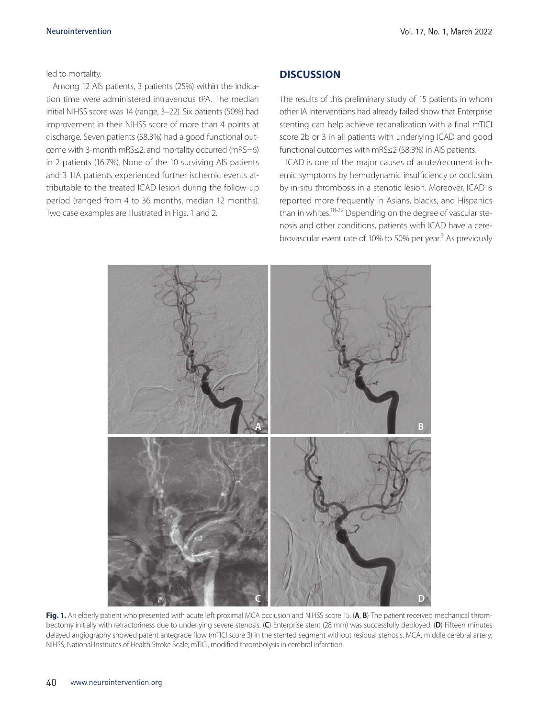led to mortality.

Among 12 AIS patients, 3 patients (25%) within the indication time were administered intravenous tPA. The median initial NIHSS score was 14 (range, 3–22). Six patients (50%) had improvement in their NIHSS score of more than 4 points at discharge. Seven patients (58.3%) had a good functional outcome with 3-month mRS≤2, and mortality occurred (mRS=6) in 2 patients (16.7%). None of the 10 surviving AIS patients and 3 TIA patients experienced further ischemic events attributable to the treated ICAD lesion during the follow-up period (ranged from 4 to 36 months, median 12 months). Two case examples are illustrated in Figs. 1 and 2.

## **DISCUSSION**

The results of this preliminary study of 15 patients in whom other IA interventions had already failed show that Enterprise stenting can help achieve recanalization with a final mTICI score 2b or 3 in all patients with underlying ICAD and good functional outcomes with mRS≤2 (58.3%) in AIS patients.

ICAD is one of the major causes of acute/recurrent ischemic symptoms by hemodynamic insufficiency or occlusion by in-situ thrombosis in a stenotic lesion. Moreover, ICAD is reported more frequently in Asians, blacks, and Hispanics than in whites.<sup>18-22</sup> Depending on the degree of vascular stenosis and other conditions, patients with ICAD have a cerebrovascular event rate of 10% to 50% per year.<sup>3</sup> As previously



**Fig. 1.** An elderly patient who presented with acute left proximal MCA occlusion and NIHSS score 15. (**A**, **B**) The patient received mechanical thrombectomy initially with refractoriness due to underlying severe stenosis. (**C**) Enterprise stent (28 mm) was successfully deployed. (**D**) Fifteen minutes delayed angiography showed patent antegrade flow (mTICI score 3) in the stented segment without residual stenosis. MCA, middle cerebral artery; NIHSS, National Institutes of Health Stroke Scale; mTICI, modified thrombolysis in cerebral infarction.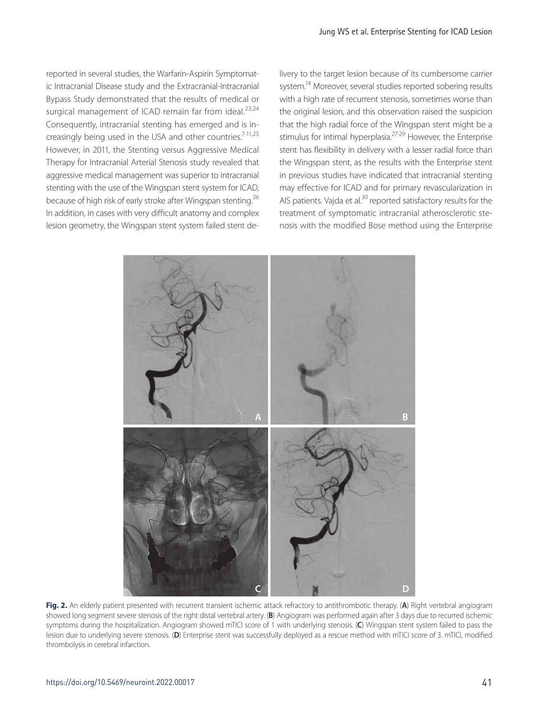reported in several studies, the Warfarin-Aspirin Symptomatic Intracranial Disease study and the Extracranial-Intracranial Bypass Study demonstrated that the results of medical or surgical management of ICAD remain far from ideal.<sup>23,24</sup> Consequently, intracranial stenting has emerged and is increasingly being used in the USA and other countries.<sup>7-11,25</sup> However, in 2011, the Stenting versus Aggressive Medical Therapy for Intracranial Arterial Stenosis study revealed that aggressive medical management was superior to intracranial stenting with the use of the Wingspan stent system for ICAD, because of high risk of early stroke after Wingspan stenting.<sup>26</sup> In addition, in cases with very difficult anatomy and complex lesion geometry, the Wingspan stent system failed stent delivery to the target lesion because of its cumbersome carrier system.<sup>14</sup> Moreover, several studies reported sobering results with a high rate of recurrent stenosis, sometimes worse than the original lesion, and this observation raised the suspicion that the high radial force of the Wingspan stent might be a stimulus for intimal hyperplasia.<sup>27-29</sup> However, the Enterprise stent has flexibility in delivery with a lesser radial force than the Wingspan stent, as the results with the Enterprise stent in previous studies have indicated that intracranial stenting may effective for ICAD and for primary revascularization in AIS patients. Vajda et al.<sup>30</sup> reported satisfactory results for the treatment of symptomatic intracranial atherosclerotic stenosis with the modified Bose method using the Enterprise



**Fig. 2.** An elderly patient presented with recurrent transient ischemic attack refractory to antithrombotic therapy. (**A**) Right vertebral angiogram showed long segment severe stenosis of the right distal vertebral artery. (**B**) Angiogram was performed again after 3 days due to recurred ischemic symptoms during the hospitalization. Angiogram showed mTICI score of 1 with underlying stenosis. (**C**) Wingspan stent system failed to pass the lesion due to underlying severe stenosis. (**D**) Enterprise stent was successfully deployed as a rescue method with mTICI score of 3. mTICI, modified thrombolysis in cerebral infarction.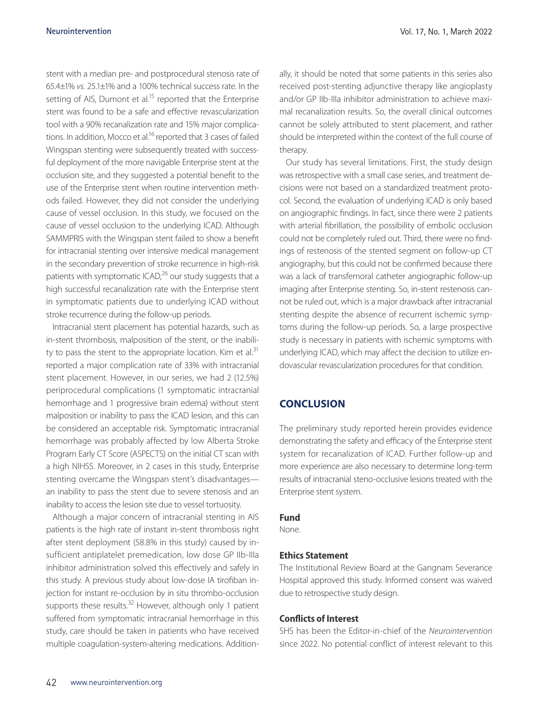stent with a median pre- and postprocedural stenosis rate of 65.4±1% *vs.* 25.1±1% and a 100% technical success rate. In the setting of AIS, Dumont et al.<sup>15</sup> reported that the Enterprise stent was found to be a safe and effective revascularization tool with a 90% recanalization rate and 15% major complications. In addition, Mocco et al.<sup>16</sup> reported that 3 cases of failed Wingspan stenting were subsequently treated with successful deployment of the more navigable Enterprise stent at the occlusion site, and they suggested a potential benefit to the use of the Enterprise stent when routine intervention methods failed. However, they did not consider the underlying cause of vessel occlusion. In this study, we focused on the cause of vessel occlusion to the underlying ICAD. Although SAMMPRIS with the Wingspan stent failed to show a benefit for intracranial stenting over intensive medical management in the secondary prevention of stroke recurrence in high-risk patients with symptomatic ICAD,<sup>26</sup> our study suggests that a high successful recanalization rate with the Enterprise stent in symptomatic patients due to underlying ICAD without stroke recurrence during the follow-up periods.

Intracranial stent placement has potential hazards, such as in-stent thrombosis, malposition of the stent, or the inability to pass the stent to the appropriate location. Kim et al. $31$ reported a major complication rate of 33% with intracranial stent placement. However, in our series, we had 2 (12.5%) periprocedural complications (1 symptomatic intracranial hemorrhage and 1 progressive brain edema) without stent malposition or inability to pass the ICAD lesion, and this can be considered an acceptable risk. Symptomatic intracranial hemorrhage was probably affected by low Alberta Stroke Program Early CT Score (ASPECTS) on the initial CT scan with a high NIHSS. Moreover, in 2 cases in this study, Enterprise stenting overcame the Wingspan stent's disadvantages an inability to pass the stent due to severe stenosis and an inability to access the lesion site due to vessel tortuosity.

Although a major concern of intracranial stenting in AIS patients is the high rate of instant in-stent thrombosis right after stent deployment (58.8% in this study) caused by insufficient antiplatelet premedication, low dose GP IIb-IIIa inhibitor administration solved this effectively and safely in this study. A previous study about low-dose IA tirofiban injection for instant re-occlusion by in situ thrombo-occlusion supports these results. $32$  However, although only 1 patient suffered from symptomatic intracranial hemorrhage in this study, care should be taken in patients who have received multiple coagulation-system-altering medications. Additionally, it should be noted that some patients in this series also received post-stenting adjunctive therapy like angioplasty and/or GP IIb-IIIa inhibitor administration to achieve maximal recanalization results. So, the overall clinical outcomes cannot be solely attributed to stent placement, and rather should be interpreted within the context of the full course of therapy.

Our study has several limitations. First, the study design was retrospective with a small case series, and treatment decisions were not based on a standardized treatment protocol. Second, the evaluation of underlying ICAD is only based on angiographic findings. In fact, since there were 2 patients with arterial fibrillation, the possibility of embolic occlusion could not be completely ruled out. Third, there were no findings of restenosis of the stented segment on follow-up CT angiography, but this could not be confirmed because there was a lack of transfemoral catheter angiographic follow-up imaging after Enterprise stenting. So, in-stent restenosis cannot be ruled out, which is a major drawback after intracranial stenting despite the absence of recurrent ischemic symptoms during the follow-up periods. So, a large prospective study is necessary in patients with ischemic symptoms with underlying ICAD, which may affect the decision to utilize endovascular revascularization procedures for that condition.

## **CONCLUSION**

The preliminary study reported herein provides evidence demonstrating the safety and efficacy of the Enterprise stent system for recanalization of ICAD. Further follow-up and more experience are also necessary to determine long-term results of intracranial steno-occlusive lesions treated with the Enterprise stent system.

#### **Fund**

None.

## **Ethics Statement**

The Institutional Review Board at the Gangnam Severance Hospital approved this study. Informed consent was waived due to retrospective study design.

## **Conflicts of Interest**

SHS has been the Editor-in-chief of the *Neurointervention* since 2022. No potential conflict of interest relevant to this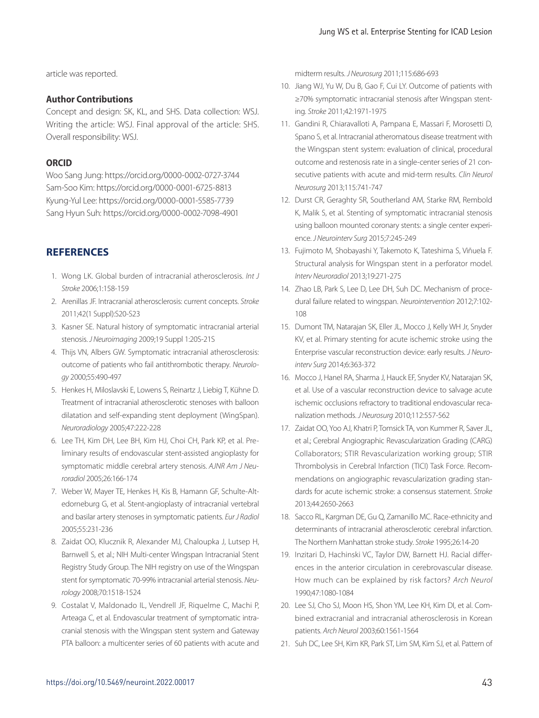article was reported.

## **Author Contributions**

Concept and design: SK, KL, and SHS. Data collection: WSJ. Writing the article: WSJ. Final approval of the article: SHS. Overall responsibility: WSJ.

## **ORCID**

Woo Sang Jung: https://orcid.org/0000-0002-0727-3744 Sam-Soo Kim: https://orcid.org/0000-0001-6725-8813 Kyung-Yul Lee: https://orcid.org/0000-0001-5585-7739 Sang Hyun Suh: https://orcid.org/0000-0002-7098-4901

# **REFERENCES**

- 1. Wong LK. Global burden of intracranial atherosclerosis. *Int J Stroke* 2006;1:158-159
- 2. Arenillas JF. Intracranial atherosclerosis: current concepts. *Stroke* 2011;42(1 Suppl):S20-S23
- 3. Kasner SE. Natural history of symptomatic intracranial arterial stenosis. *J Neuroimaging* 2009;19 Suppl 1:20S-21S
- 4. Thijs VN, Albers GW. Symptomatic intracranial atherosclerosis: outcome of patients who fail antithrombotic therapy. *Neurology* 2000;55:490-497
- 5. Henkes H, Miloslavski E, Lowens S, Reinartz J, Liebig T, Kühne D. Treatment of intracranial atherosclerotic stenoses with balloon dilatation and self-expanding stent deployment (WingSpan). *Neuroradiology* 2005;47:222-228
- 6. Lee TH, Kim DH, Lee BH, Kim HJ, Choi CH, Park KP, et al. Preliminary results of endovascular stent-assisted angioplasty for symptomatic middle cerebral artery stenosis. *AJNR Am J Neuroradiol* 2005;26:166-174
- 7. Weber W, Mayer TE, Henkes H, Kis B, Hamann GF, Schulte-Altedorneburg G, et al. Stent-angioplasty of intracranial vertebral and basilar artery stenoses in symptomatic patients. *Eur J Radiol* 2005;55:231-236
- 8. Zaidat OO, Klucznik R, Alexander MJ, Chaloupka J, Lutsep H, Barnwell S, et al.; NIH Multi-center Wingspan Intracranial Stent Registry Study Group. The NIH registry on use of the Wingspan stent for symptomatic 70-99% intracranial arterial stenosis. *Neurology* 2008;70:1518-1524
- 9. Costalat V, Maldonado IL, Vendrell JF, Riquelme C, Machi P, Arteaga C, et al. Endovascular treatment of symptomatic intracranial stenosis with the Wingspan stent system and Gateway PTA balloon: a multicenter series of 60 patients with acute and

midterm results. *J Neurosurg* 2011;115:686-693

- 10. Jiang WJ, Yu W, Du B, Gao F, Cui LY. Outcome of patients with ≥70% symptomatic intracranial stenosis after Wingspan stenting. *Stroke* 2011;42:1971-1975
- 11. Gandini R, Chiaravalloti A, Pampana E, Massari F, Morosetti D, Spano S, et al. Intracranial atheromatous disease treatment with the Wingspan stent system: evaluation of clinical, procedural outcome and restenosis rate in a single-center series of 21 consecutive patients with acute and mid-term results. *Clin Neurol Neurosurg* 2013;115:741-747
- 12. Durst CR, Geraghty SR, Southerland AM, Starke RM, Rembold K, Malik S, et al. Stenting of symptomatic intracranial stenosis using balloon mounted coronary stents: a single center experience. *J Neurointerv Surg* 2015;7:245-249
- 13. Fujimoto M, Shobayashi Y, Takemoto K, Tateshima S, Viñuela F. Structural analysis for Wingspan stent in a perforator model. *Interv Neuroradiol* 2013;19:271-275
- 14. Zhao LB, Park S, Lee D, Lee DH, Suh DC. Mechanism of procedural failure related to wingspan. *Neurointervention* 2012;7:102-  $108$
- 15. Dumont TM, Natarajan SK, Eller JL, Mocco J, Kelly WH Jr, Snyder KV, et al. Primary stenting for acute ischemic stroke using the Enterprise vascular reconstruction device: early results. *J Neurointerv Surg* 2014;6:363-372
- 16. Mocco J, Hanel RA, Sharma J, Hauck EF, Snyder KV, Natarajan SK, et al. Use of a vascular reconstruction device to salvage acute ischemic occlusions refractory to traditional endovascular recanalization methods. *J Neurosurg* 2010;112:557-562
- 17. Zaidat OO, Yoo AJ, Khatri P, Tomsick TA, von Kummer R, Saver JL, et al.; Cerebral Angiographic Revascularization Grading (CARG) Collaborators; STIR Revascularization working group; STIR Thrombolysis in Cerebral Infarction (TICI) Task Force. Recommendations on angiographic revascularization grading standards for acute ischemic stroke: a consensus statement. *Stroke* 2013;44:2650-2663
- 18. Sacco RL, Kargman DE, Gu Q, Zamanillo MC. Race-ethnicity and determinants of intracranial atherosclerotic cerebral infarction. The Northern Manhattan stroke study. *Stroke* 1995;26:14-20
- 19. Inzitari D, Hachinski VC, Taylor DW, Barnett HJ. Racial differences in the anterior circulation in cerebrovascular disease. How much can be explained by risk factors? *Arch Neurol* 1990;47:1080-1084
- 20. Lee SJ, Cho SJ, Moon HS, Shon YM, Lee KH, Kim DI, et al. Combined extracranial and intracranial atherosclerosis in Korean patients. *Arch Neurol* 2003;60:1561-1564
- 21. Suh DC, Lee SH, Kim KR, Park ST, Lim SM, Kim SJ, et al. Pattern of